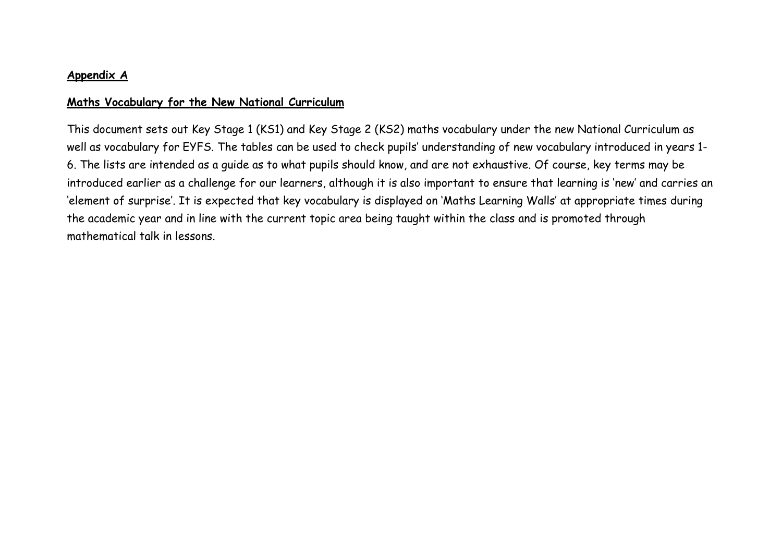## **Appendix A**

## **Maths Vocabulary for the New National Curriculum**

This document sets out Key Stage 1 (KS1) and Key Stage 2 (KS2) maths vocabulary under the new National Curriculum as well as vocabulary for EYFS. The tables can be used to check pupils' understanding of new vocabulary introduced in years 1- 6. The lists are intended as a guide as to what pupils should know, and are not exhaustive. Of course, key terms may be introduced earlier as a challenge for our learners, although it is also important to ensure that learning is 'new' and carries an 'element of surprise'. It is expected that key vocabulary is displayed on 'Maths Learning Walls' at appropriate times during the academic year and in line with the current topic area being taught within the class and is promoted through mathematical talk in lessons.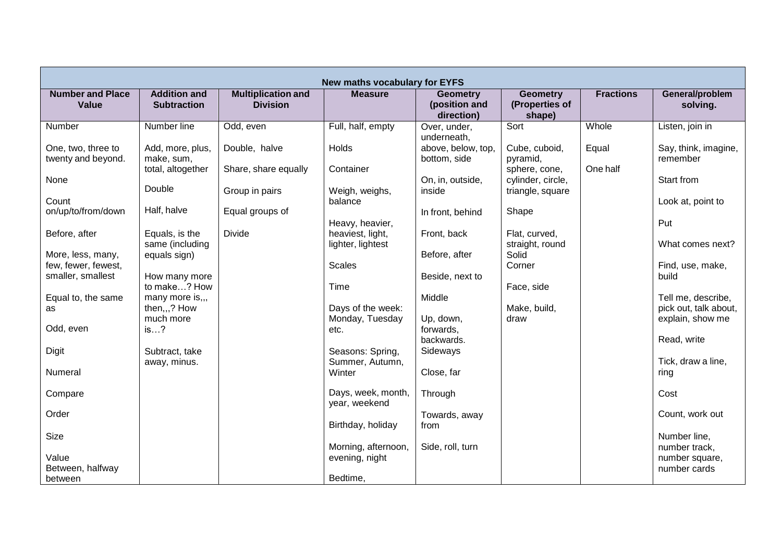|                                          |                                           |                                              | New maths vocabulary for EYFS         |                                                |                                             |                  |                                             |
|------------------------------------------|-------------------------------------------|----------------------------------------------|---------------------------------------|------------------------------------------------|---------------------------------------------|------------------|---------------------------------------------|
| <b>Number and Place</b><br>Value         | <b>Addition and</b><br><b>Subtraction</b> | <b>Multiplication and</b><br><b>Division</b> | <b>Measure</b>                        | <b>Geometry</b><br>(position and<br>direction) | <b>Geometry</b><br>(Properties of<br>shape) | <b>Fractions</b> | General/problem<br>solving.                 |
| Number                                   | Number line                               | Odd, even                                    | Full, half, empty                     | Over, under,<br>underneath,                    | Sort                                        | Whole            | Listen, join in                             |
| One, two, three to<br>twenty and beyond. | Add, more, plus,<br>make, sum,            | Double, halve                                | Holds                                 | above, below, top,<br>bottom, side             | Cube, cuboid,<br>pyramid,                   | Equal            | Say, think, imagine,<br>remember            |
| None                                     | total, altogether                         | Share, share equally                         | Container                             | On, in, outside,                               | sphere, cone,<br>cylinder, circle,          | One half         | Start from                                  |
| Count                                    | Double                                    | Group in pairs                               | Weigh, weighs,<br>balance             | inside                                         | triangle, square                            |                  | Look at, point to                           |
| on/up/to/from/down                       | Half, halve                               | Equal groups of                              | Heavy, heavier,                       | In front, behind                               | Shape                                       |                  | Put                                         |
| Before, after                            | Equals, is the<br>same (including         | <b>Divide</b>                                | heaviest, light,<br>lighter, lightest | Front, back                                    | Flat, curved,<br>straight, round            |                  | What comes next?                            |
| More, less, many,<br>few, fewer, fewest, | equals sign)                              |                                              | <b>Scales</b>                         | Before, after                                  | Solid<br>Corner                             |                  | Find, use, make,                            |
| smaller, smallest                        | How many more<br>to make? How             |                                              | Time                                  | Beside, next to                                | Face, side                                  |                  | build                                       |
| Equal to, the same<br>as                 | many more is,,,<br>then,,,? How           |                                              | Days of the week:                     | Middle                                         | Make, build,                                |                  | Tell me, describe,<br>pick out, talk about, |
| Odd, even                                | much more<br>is?                          |                                              | Monday, Tuesday<br>etc.               | Up, down,<br>forwards,                         | draw                                        |                  | explain, show me                            |
| <b>Digit</b>                             | Subtract, take                            |                                              | Seasons: Spring,                      | backwards.<br>Sideways                         |                                             |                  | Read, write                                 |
|                                          | away, minus.                              |                                              | Summer, Autumn,                       |                                                |                                             |                  | Tick, draw a line,                          |
| Numeral                                  |                                           |                                              | Winter                                | Close, far                                     |                                             |                  | ring                                        |
| Compare                                  |                                           |                                              | Days, week, month,<br>year, weekend   | Through                                        |                                             |                  | Cost                                        |
| Order                                    |                                           |                                              | Birthday, holiday                     | Towards, away<br>from                          |                                             |                  | Count, work out                             |
| Size                                     |                                           |                                              | Morning, afternoon,                   | Side, roll, turn                               |                                             |                  | Number line,<br>number track,               |
| Value<br>Between, halfway                |                                           |                                              | evening, night                        |                                                |                                             |                  | number square,<br>number cards              |
| between                                  |                                           |                                              | Bedtime,                              |                                                |                                             |                  |                                             |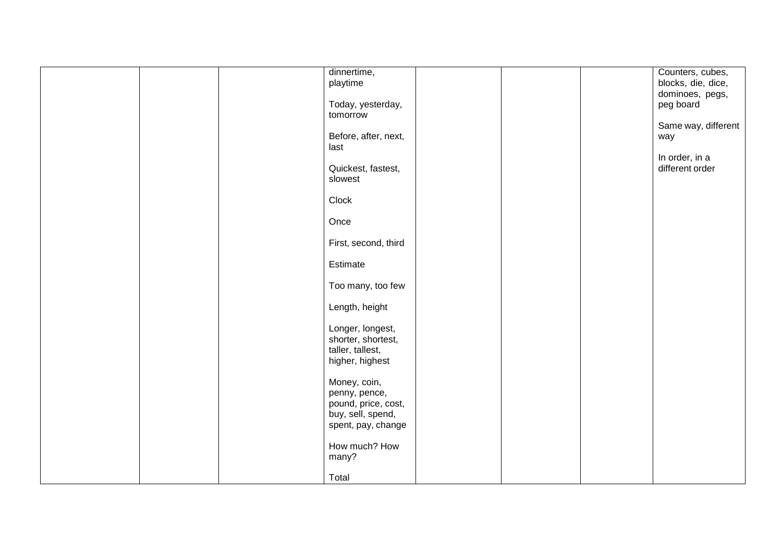|  | Today, yesterday,<br>tomorrow<br>Before, after, next,<br>last<br>Quickest, fastest,<br>slowest<br>Clock<br>Once<br>First, second, third<br>Estimate<br>Too many, too few<br>Length, height<br>Longer, longest,<br>shorter, shortest,<br>taller, tallest,<br>higher, highest<br>Money, coin,<br>penny, pence,<br>pound, price, cost,<br>buy, sell, spend,<br>spent, pay, change<br>How much? How<br>many?<br>Total |  | dominoes, pegs,<br>peg board<br>Same way, different<br>way<br>In order, in a<br>different order |
|--|-------------------------------------------------------------------------------------------------------------------------------------------------------------------------------------------------------------------------------------------------------------------------------------------------------------------------------------------------------------------------------------------------------------------|--|-------------------------------------------------------------------------------------------------|
|  | dinnertime,<br>playtime                                                                                                                                                                                                                                                                                                                                                                                           |  | Counters, cubes,<br>blocks, die, dice,                                                          |
|  |                                                                                                                                                                                                                                                                                                                                                                                                                   |  |                                                                                                 |
|  |                                                                                                                                                                                                                                                                                                                                                                                                                   |  |                                                                                                 |
|  |                                                                                                                                                                                                                                                                                                                                                                                                                   |  |                                                                                                 |
|  |                                                                                                                                                                                                                                                                                                                                                                                                                   |  |                                                                                                 |
|  |                                                                                                                                                                                                                                                                                                                                                                                                                   |  |                                                                                                 |
|  |                                                                                                                                                                                                                                                                                                                                                                                                                   |  |                                                                                                 |
|  |                                                                                                                                                                                                                                                                                                                                                                                                                   |  |                                                                                                 |
|  |                                                                                                                                                                                                                                                                                                                                                                                                                   |  |                                                                                                 |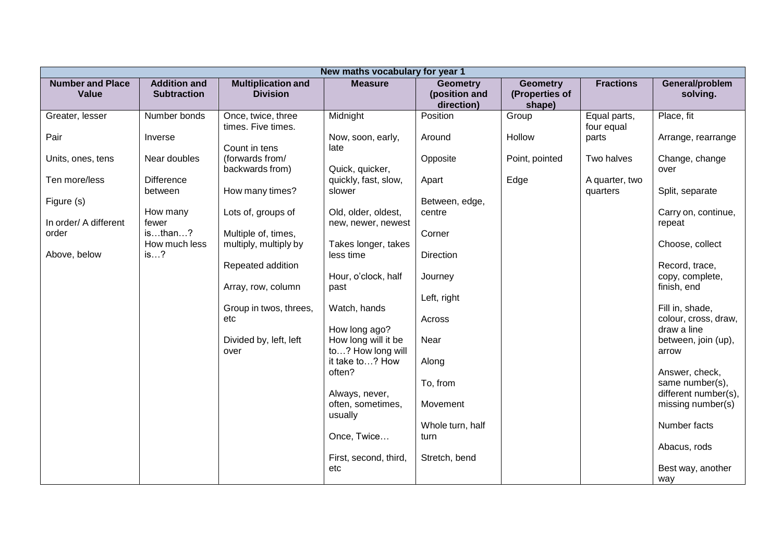| New maths vocabulary for year 1  |                                           |                                              |                                           |                                                |                                             |                            |                                         |
|----------------------------------|-------------------------------------------|----------------------------------------------|-------------------------------------------|------------------------------------------------|---------------------------------------------|----------------------------|-----------------------------------------|
| <b>Number and Place</b><br>Value | <b>Addition and</b><br><b>Subtraction</b> | <b>Multiplication and</b><br><b>Division</b> | <b>Measure</b>                            | <b>Geometry</b><br>(position and<br>direction) | <b>Geometry</b><br>(Properties of<br>shape) | <b>Fractions</b>           | General/problem<br>solving.             |
| Greater, lesser                  | Number bonds                              | Once, twice, three<br>times. Five times.     | Midnight                                  | Position                                       | Group                                       | Equal parts,<br>four equal | Place, fit                              |
| Pair                             | Inverse                                   | Count in tens                                | Now, soon, early,<br>late                 | Around                                         | Hollow                                      | parts                      | Arrange, rearrange                      |
| Units, ones, tens                | Near doubles                              | (forwards from/<br>backwards from)           | Quick, quicker,                           | Opposite                                       | Point, pointed                              | Two halves                 | Change, change<br>over                  |
| Ten more/less                    | <b>Difference</b><br>between              | How many times?                              | quickly, fast, slow,<br>slower            | Apart                                          | Edge                                        | A quarter, two<br>quarters | Split, separate                         |
| Figure (s)                       |                                           |                                              |                                           | Between, edge,                                 |                                             |                            |                                         |
| In order/ A different            | How many<br>fewer                         | Lots of, groups of                           | Old, older, oldest,<br>new, newer, newest | centre                                         |                                             |                            | Carry on, continue,<br>repeat           |
| order                            | isthan?<br>How much less                  | Multiple of, times,<br>multiply, multiply by | Takes longer, takes                       | Corner                                         |                                             |                            | Choose, collect                         |
| Above, below                     | is?                                       |                                              | less time                                 | <b>Direction</b>                               |                                             |                            |                                         |
|                                  |                                           | Repeated addition                            | Hour, o'clock, half                       | Journey                                        |                                             |                            | Record, trace,<br>copy, complete,       |
|                                  |                                           | Array, row, column                           | past                                      | Left, right                                    |                                             |                            | finish, end                             |
|                                  |                                           | Group in twos, threes,<br>etc                | Watch, hands                              | Across                                         |                                             |                            | Fill in, shade,<br>colour, cross, draw, |
|                                  |                                           | Divided by, left, left                       | How long ago?<br>How long will it be      | Near                                           |                                             |                            | draw a line<br>between, join (up),      |
|                                  |                                           | over                                         | to? How long will<br>it take to? How      | Along                                          |                                             |                            | arrow                                   |
|                                  |                                           |                                              | often?                                    | To, from                                       |                                             |                            | Answer, check,<br>same number(s),       |
|                                  |                                           |                                              | Always, never,                            |                                                |                                             |                            | different number(s),                    |
|                                  |                                           |                                              | often, sometimes,<br>usually              | Movement                                       |                                             |                            | missing number(s)                       |
|                                  |                                           |                                              | Once, Twice                               | Whole turn, half<br>turn                       |                                             |                            | Number facts                            |
|                                  |                                           |                                              |                                           |                                                |                                             |                            | Abacus, rods                            |
|                                  |                                           |                                              | First, second, third,<br>etc              | Stretch, bend                                  |                                             |                            | Best way, another                       |
|                                  |                                           |                                              |                                           |                                                |                                             |                            | way                                     |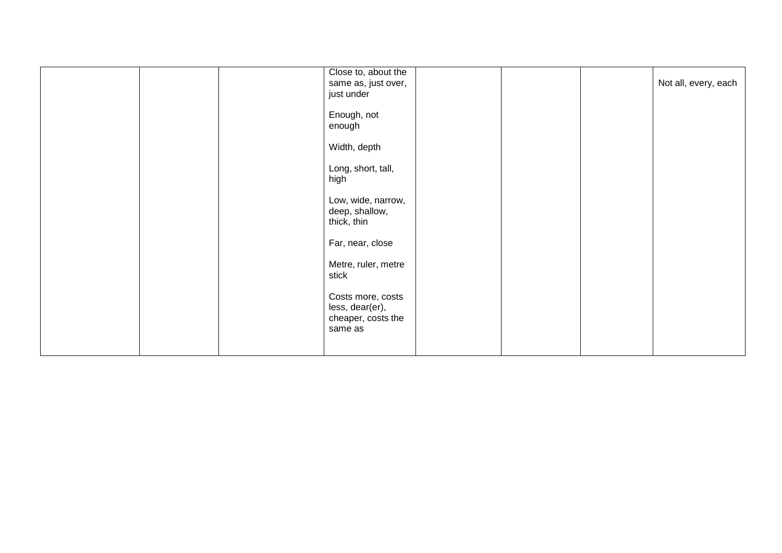|  | Close to, about the |  |                      |
|--|---------------------|--|----------------------|
|  |                     |  |                      |
|  | same as, just over, |  | Not all, every, each |
|  | just under          |  |                      |
|  |                     |  |                      |
|  | Enough, not         |  |                      |
|  | enough              |  |                      |
|  |                     |  |                      |
|  | Width, depth        |  |                      |
|  |                     |  |                      |
|  | Long, short, tall,  |  |                      |
|  | high                |  |                      |
|  |                     |  |                      |
|  | Low, wide, narrow,  |  |                      |
|  | deep, shallow,      |  |                      |
|  | thick, thin         |  |                      |
|  |                     |  |                      |
|  | Far, near, close    |  |                      |
|  |                     |  |                      |
|  | Metre, ruler, metre |  |                      |
|  | stick               |  |                      |
|  |                     |  |                      |
|  | Costs more, costs   |  |                      |
|  | less, dear(er),     |  |                      |
|  | cheaper, costs the  |  |                      |
|  |                     |  |                      |
|  | same as             |  |                      |
|  |                     |  |                      |
|  |                     |  |                      |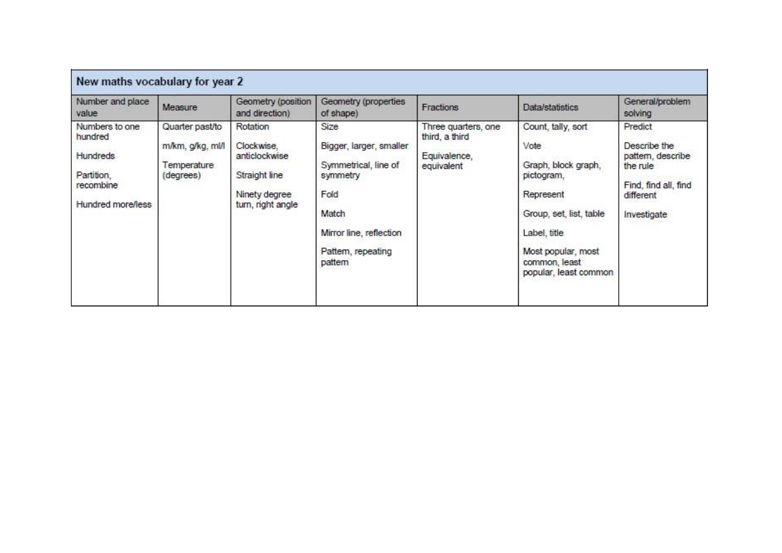| New maths vocabulary for year 2                                                       |                                                                 |                                                                                                |                                                                                                                                                  |                                                                     |                                                                                                                                                                                         |                                                                                                              |
|---------------------------------------------------------------------------------------|-----------------------------------------------------------------|------------------------------------------------------------------------------------------------|--------------------------------------------------------------------------------------------------------------------------------------------------|---------------------------------------------------------------------|-----------------------------------------------------------------------------------------------------------------------------------------------------------------------------------------|--------------------------------------------------------------------------------------------------------------|
| Number and place<br>value                                                             | Measure                                                         | Geometry (position<br>and direction)                                                           | Geometry (properties<br>of shape)                                                                                                                | Fractions                                                           | Data/statistics                                                                                                                                                                         | General/problem<br>solving                                                                                   |
| Numbers to one<br>hundred<br>Hundreds<br>Partition,<br>recombine<br>Hundred more/less | Quarter past/to<br>m/km, g/kg, ml/l<br>Temperature<br>(degrees) | Rotation<br>Clockwise,<br>anticlockwise<br>Straight line<br>Ninety degree<br>turn, right angle | Size<br>Bigger, larger, smaller<br>Symmetrical, line of<br>symmetry<br>Fold<br>Match<br>Mirror line, reflection<br>Pattern, repeating<br>pattern | Three quarters, one<br>third, a third<br>Equivalence,<br>equivalent | Count, tally, sort<br>Vote<br>Graph, block graph,<br>pictogram,<br>Represent<br>Group, set, list, table<br>Label, title<br>Most popular, most<br>common, least<br>popular, least common | Predict<br>Describe the<br>pattern, describe<br>the rule<br>Find, find all, find<br>different<br>Investigate |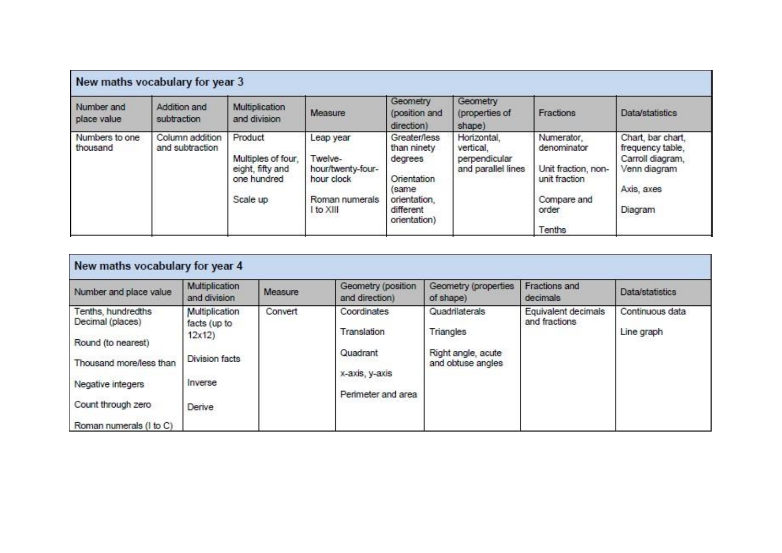|                            | New maths vocabulary for year 3    |                                                                              |                                                                                        |                                                                                                             |                                                                 |                                                                                                     |                                                                                                    |
|----------------------------|------------------------------------|------------------------------------------------------------------------------|----------------------------------------------------------------------------------------|-------------------------------------------------------------------------------------------------------------|-----------------------------------------------------------------|-----------------------------------------------------------------------------------------------------|----------------------------------------------------------------------------------------------------|
| Number and<br>place value  | Addition and<br>subtraction        | Multiplication<br>and division                                               | Measure                                                                                | Geometry<br>(position and<br>direction)                                                                     | Geometry<br>(properties of<br>shape)                            | Fractions                                                                                           | Data/statistics                                                                                    |
| Numbers to one<br>thousand | Column addition<br>and subtraction | Product<br>Multiples of four,<br>eight, fifty and<br>one hundred<br>Scale up | Leap year<br>Twelve-<br>hour/twenty-four-<br>hour clock<br>Roman numerals<br>I to XIII | Greater/less<br>than ninety<br>degrees<br>Orientation<br>(same<br>orientation.<br>different<br>orientation) | Horizontal,<br>vertical.<br>perpendicular<br>and parallel lines | Numerator,<br>denominator<br>Unit fraction, non-<br>unit fraction<br>Compare and<br>order<br>Tenths | Chart, bar chart,<br>frequency table,<br>Carroll diagram,<br>Venn diagram<br>Axis, axes<br>Diagram |

| Number and place value  | Multiplication<br>and division | Measure | Geometry (position<br>and direction) | Geometry (properties<br>of shape)       | Fractions and<br>decimals | Data/statistics |
|-------------------------|--------------------------------|---------|--------------------------------------|-----------------------------------------|---------------------------|-----------------|
| Tenths, hundredths      | Multiplication                 | Convert | Coordinates                          | Quadrilaterals                          | Equivalent decimals       | Continuous data |
| Decimal (places)        | facts (up to                   |         | Translation                          | Triangles                               | and fractions             | Line graph      |
| Round (to nearest)      | 12x12                          |         |                                      |                                         |                           |                 |
| Thousand more/less than | Division facts                 |         | Quadrant<br>x-axis, y-axis           | Right angle, acute<br>and obtuse angles |                           |                 |
| Negative integers       | Inverse                        |         |                                      |                                         |                           |                 |
|                         |                                |         | Perimeter and area                   |                                         |                           |                 |
| Count through zero      | Derive                         |         |                                      |                                         |                           |                 |
| Roman numerals (I to C) |                                |         |                                      |                                         |                           |                 |